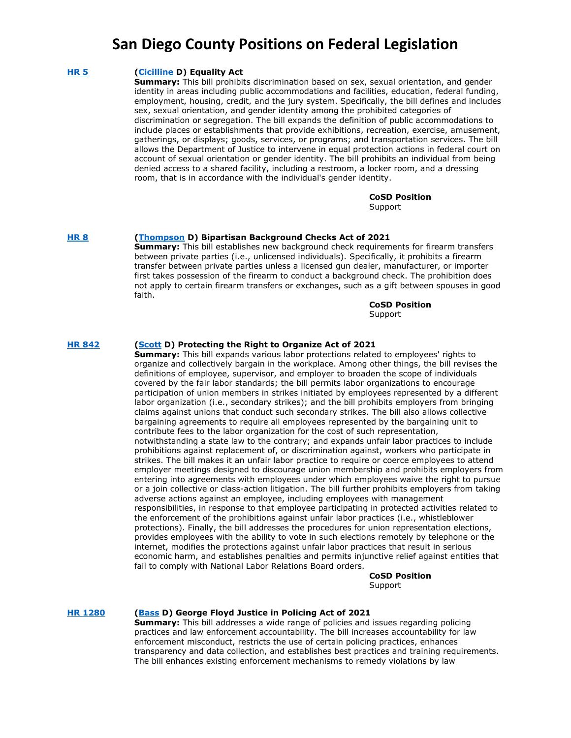### **[HR 5](https://www.govtrack.us/congress/bills/117/hr5) [\(Cicilline](https://cicilline.house.gov/) D) Equality Act**

**Summary:** This bill prohibits discrimination based on sex, sexual orientation, and gender identity in areas including public accommodations and facilities, education, federal funding, employment, housing, credit, and the jury system. Specifically, the bill defines and includes sex, sexual orientation, and gender identity among the prohibited categories of discrimination or segregation. The bill expands the definition of public accommodations to include places or establishments that provide exhibitions, recreation, exercise, amusement, gatherings, or displays; goods, services, or programs; and transportation services. The bill allows the Department of Justice to intervene in equal protection actions in federal court on account of sexual orientation or gender identity. The bill prohibits an individual from being denied access to a shared facility, including a restroom, a locker room, and a dressing room, that is in accordance with the individual's gender identity.

#### **CoSD Position Support**

### **[HR 8](https://www.govtrack.us/congress/bills/117/hr842) [\(Thompson](https://mikethompson.house.gov/) D) Bipartisan Background Checks Act of 2021**

**Summary:** This bill establishes new background check requirements for firearm transfers between private parties (i.e., unlicensed individuals). Specifically, it prohibits a firearm transfer between private parties unless a licensed gun dealer, manufacturer, or importer first takes possession of the firearm to conduct a background check. The prohibition does not apply to certain firearm transfers or exchanges, such as a gift between spouses in good faith.

#### **CoSD Position** Support

### **[HR 842](https://www.govtrack.us/congress/bills/117/hr842) [\(Scott](https://bobbyscott.house.gov/) D) Protecting the Right to Organize Act of 2021**

**Summary:** This bill expands various labor protections related to employees' rights to organize and collectively bargain in the workplace. Among other things, the bill revises the definitions of employee, supervisor, and employer to broaden the scope of individuals covered by the fair labor standards; the bill permits labor organizations to encourage participation of union members in strikes initiated by employees represented by a different labor organization (i.e., secondary strikes); and the bill prohibits employers from bringing claims against unions that conduct such secondary strikes. The bill also allows collective bargaining agreements to require all employees represented by the bargaining unit to contribute fees to the labor organization for the cost of such representation, notwithstanding a state law to the contrary; and expands unfair labor practices to include prohibitions against replacement of, or discrimination against, workers who participate in strikes. The bill makes it an unfair labor practice to require or coerce employees to attend employer meetings designed to discourage union membership and prohibits employers from entering into agreements with employees under which employees waive the right to pursue or a join collective or class-action litigation. The bill further prohibits employers from taking adverse actions against an employee, including employees with management responsibilities, in response to that employee participating in protected activities related to the enforcement of the prohibitions against unfair labor practices (i.e., whistleblower protections). Finally, the bill addresses the procedures for union representation elections, provides employees with the ability to vote in such elections remotely by telephone or the internet, modifies the protections against unfair labor practices that result in serious economic harm, and establishes penalties and permits injunctive relief against entities that fail to comply with National Labor Relations Board orders.

### **CoSD Position** Support

#### **[HR 1280](https://www.govtrack.us/congress/bills/117/hr1280) [\(Bass](https://bass.house.gov/) D) George Floyd Justice in Policing Act of 2021**

**Summary:** This bill addresses a wide range of policies and issues regarding policing practices and law enforcement accountability. The bill increases accountability for law enforcement misconduct, restricts the use of certain policing practices, enhances transparency and data collection, and establishes best practices and training requirements. The bill enhances existing enforcement mechanisms to remedy violations by law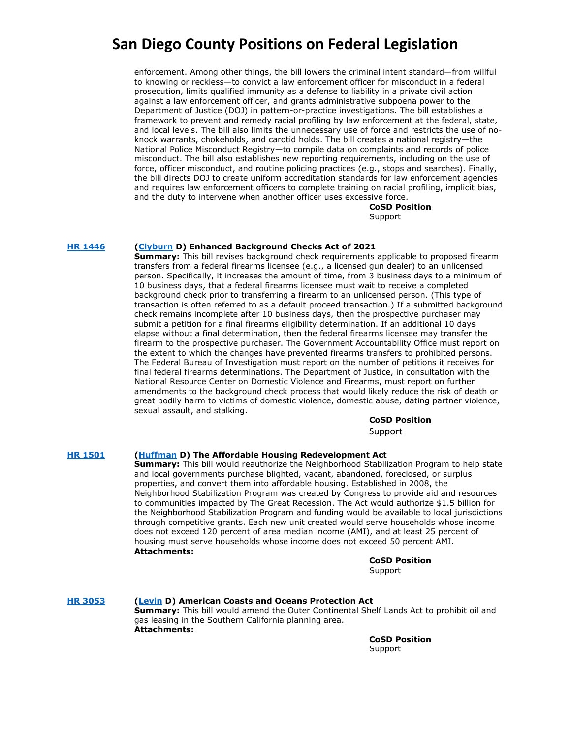enforcement. Among other things, the bill lowers the criminal intent standard—from willful to knowing or reckless—to convict a law enforcement officer for misconduct in a federal prosecution, limits qualified immunity as a defense to liability in a private civil action against a law enforcement officer, and grants administrative subpoena power to the Department of Justice (DOJ) in pattern-or-practice investigations. The bill establishes a framework to prevent and remedy racial profiling by law enforcement at the federal, state, and local levels. The bill also limits the unnecessary use of force and restricts the use of noknock warrants, chokeholds, and carotid holds. The bill creates a national registry—the National Police Misconduct Registry—to compile data on complaints and records of police misconduct. The bill also establishes new reporting requirements, including on the use of force, officer misconduct, and routine policing practices (e.g., stops and searches). Finally, the bill directs DOJ to create uniform accreditation standards for law enforcement agencies and requires law enforcement officers to complete training on racial profiling, implicit bias, and the duty to intervene when another officer uses excessive force.

**CoSD Position** Support

### **[HR 1446](https://www.govtrack.us/congress/bills/117/hr1446) [\(Clyburn](https://clyburn.house.gov/) D) Enhanced Background Checks Act of 2021**

**Summary:** This bill revises background check requirements applicable to proposed firearm transfers from a federal firearms licensee (e.g., a licensed gun dealer) to an unlicensed person. Specifically, it increases the amount of time, from 3 business days to a minimum of 10 business days, that a federal firearms licensee must wait to receive a completed background check prior to transferring a firearm to an unlicensed person. (This type of transaction is often referred to as a default proceed transaction.) If a submitted background check remains incomplete after 10 business days, then the prospective purchaser may submit a petition for a final firearms eligibility determination. If an additional 10 days elapse without a final determination, then the federal firearms licensee may transfer the firearm to the prospective purchaser. The Government Accountability Office must report on the extent to which the changes have prevented firearms transfers to prohibited persons. The Federal Bureau of Investigation must report on the number of petitions it receives for final federal firearms determinations. The Department of Justice, in consultation with the National Resource Center on Domestic Violence and Firearms, must report on further amendments to the background check process that would likely reduce the risk of death or great bodily harm to victims of domestic violence, domestic abuse, dating partner violence, sexual assault, and stalking.

### **CoSD Position**

Support

### **[HR 1501](https://www.govtrack.us/congress/bills/117/hr1501) [\(Huffman](https://huffman.house.gov/) D) The Affordable Housing Redevelopment Act**

**Summary:** This bill would reauthorize the Neighborhood Stabilization Program to help state and local governments purchase blighted, vacant, abandoned, foreclosed, or surplus properties, and convert them into affordable housing. Established in 2008, the Neighborhood Stabilization Program was created by Congress to provide aid and resources to communities impacted by The Great Recession. The Act would authorize \$1.5 billion for the Neighborhood Stabilization Program and funding would be available to local jurisdictions through competitive grants. Each new unit created would serve households whose income does not exceed 120 percent of area median income (AMI), and at least 25 percent of housing must serve households whose income does not exceed 50 percent AMI. **Attachments:**

### **CoSD Position** Support

**[HR 3053](https://www.congress.gov/bill/117th-congress/house-bill/3053) [\(Levin](https://mikelevin.house.gov/) D) American Coasts and Oceans Protection Act Summary:** This bill would amend the Outer Continental Shelf Lands Act to prohibit oil and gas leasing in the Southern California planning area. **Attachments:**

**CoSD Position** Support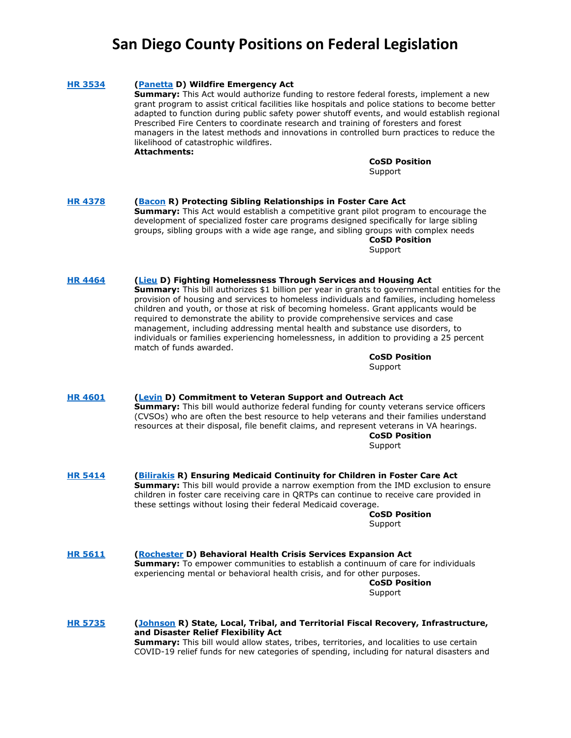### **[HR 3534](https://www.govtrack.us/congress/bills/117/hr3534) [\(Panetta](https://panetta.house.gov/) D) Wildfire Emergency Act Summary:** This Act would authorize funding to restore federal forests, implement a new grant program to assist critical facilities like hospitals and police stations to become better adapted to function during public safety power shutoff events, and would establish regional Prescribed Fire Centers to coordinate research and training of foresters and forest managers in the latest methods and innovations in controlled burn practices to reduce the likelihood of catastrophic wildfires. **Attachments: CoSD Position Support [HR 4378](https://www.govtrack.us/congress/bills/117/hr4378) [\(Bacon](https://bacon.house.gov/) R) Protecting Sibling Relationships in Foster Care Act Summary:** This Act would establish a competitive grant pilot program to encourage the development of specialized foster care programs designed specifically for large sibling groups, sibling groups with a wide age range, and sibling groups with complex needs **CoSD Position** Support **[HR 4464](https://www.govtrack.us/congress/bills/117/hr4464) [\(Lieu](https://lieu.house.gov/) D) Fighting Homelessness Through Services and Housing Act Summary:** This bill authorizes \$1 billion per year in grants to governmental entities for the provision of housing and services to homeless individuals and families, including homeless children and youth, or those at risk of becoming homeless. Grant applicants would be required to demonstrate the ability to provide comprehensive services and case management, including addressing mental health and substance use disorders, to individuals or families experiencing homelessness, in addition to providing a 25 percent match of funds awarded. **CoSD Position Support [HR 4601](https://www.govtrack.us/congress/bills/117/hr4601) [\(Levin](https://mikelevin.house.gov/) D) Commitment to Veteran Support and Outreach Act Summary:** This bill would authorize federal funding for county veterans service officers (CVSOs) who are often the best resource to help veterans and their families understand resources at their disposal, file benefit claims, and represent veterans in VA hearings. **CoSD Position** Support **[HR 5414](https://www.govtrack.us/congress/bills/117/hr5414) [\(Bilirakis](https://bilirakis.house.gov/) R) Ensuring Medicaid Continuity for Children in Foster Care Act Summary:** This bill would provide a narrow exemption from the IMD exclusion to ensure children in foster care receiving care in QRTPs can continue to receive care provided in these settings without losing their federal Medicaid coverage. **CoSD Position** Support **[HR 5611](https://www.govtrack.us/congress/bills/117/hr5611) [\(Rochester](file://///ustlsncsd0004/FGG/SIA/2021/Federal/Rochester) D) Behavioral Health Crisis Services Expansion Act Summary:** To empower communities to establish a continuum of care for individuals experiencing mental or behavioral health crisis, and for other purposes. **CoSD Position** Support **[HR 5735](https://www.congress.gov/bill/117th-congress/house-bill/5735?q=%7B%22search%22%3A%5B%22HR+5735%22%2C%22HR%22%2C%225735%22%5D%7D&s=1&r=1) [\(Johnson](https://dustyjohnson.house.gov/) R) State, Local, Tribal, and Territorial Fiscal Recovery, Infrastructure, and Disaster Relief Flexibility Act Summary:** This bill would allow states, tribes, territories, and localities to use certain COVID-19 relief funds for new categories of spending, including for natural disasters and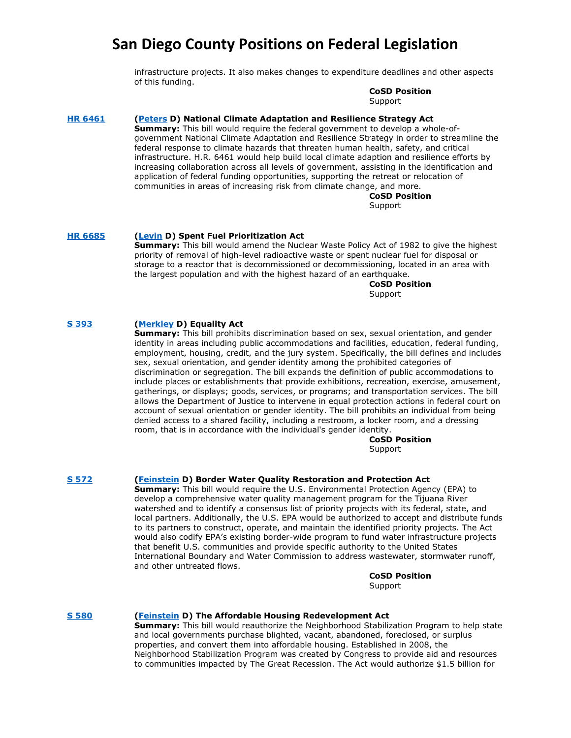infrastructure projects. It also makes changes to expenditure deadlines and other aspects of this funding.

> **CoSD Position** Support

### **[HR 6461](https://www.govtrack.us/congress/bills/117/hr6461) [\(Peters](https://scottpeters.house.gov/) D) National Climate Adaptation and Resilience Strategy Act**

**Summary:** This bill would require the federal government to develop a whole-ofgovernment National Climate Adaptation and Resilience Strategy in order to streamline the federal response to climate hazards that threaten human health, safety, and critical infrastructure. H.R. 6461 would help build local climate adaption and resilience efforts by increasing collaboration across all levels of government, assisting in the identification and application of federal funding opportunities, supporting the retreat or relocation of communities in areas of increasing risk from climate change, and more.

> **CoSD Position** Support

### **[HR 6685](https://www.congress.gov/bill/117th-congress/house-bill/6685?q=%7B%22search%22%3A%5B%22hr6685%22%2C%22hr6685%22%5D%7D&s=1&r=1) [\(Levin](https://mikelevin.house.gov/) D) Spent Fuel Prioritization Act**

**Summary:** This bill would amend the Nuclear Waste Policy Act of 1982 to give the highest priority of removal of high-level radioactive waste or spent nuclear fuel for disposal or storage to a reactor that is decommissioned or decommissioning, located in an area with the largest population and with the highest hazard of an earthquake.

> **CoSD Position** Support

### **[S 393](https://www.govtrack.us/congress/bills/117/s393) [\(Merkley](https://www.merkley.senate.gov/) D) Equality Act**

**Summary:** This bill prohibits discrimination based on sex, sexual orientation, and gender identity in areas including public accommodations and facilities, education, federal funding, employment, housing, credit, and the jury system. Specifically, the bill defines and includes sex, sexual orientation, and gender identity among the prohibited categories of discrimination or segregation. The bill expands the definition of public accommodations to include places or establishments that provide exhibitions, recreation, exercise, amusement, gatherings, or displays; goods, services, or programs; and transportation services. The bill allows the Department of Justice to intervene in equal protection actions in federal court on account of sexual orientation or gender identity. The bill prohibits an individual from being denied access to a shared facility, including a restroom, a locker room, and a dressing room, that is in accordance with the individual's gender identity.

> **CoSD Position** Support

#### **[S 572](https://www.govtrack.us/congress/bills/117/s572) [\(Feinstein](https://www.feinstein.senate.gov/public/) D) Border Water Quality Restoration and Protection Act**

**Summary:** This bill would require the U.S. Environmental Protection Agency (EPA) to develop a comprehensive water quality management program for the Tijuana River watershed and to identify a consensus list of priority projects with its federal, state, and local partners. Additionally, the U.S. EPA would be authorized to accept and distribute funds to its partners to construct, operate, and maintain the identified priority projects. The Act would also codify EPA's existing border-wide program to fund water infrastructure projects that benefit U.S. communities and provide specific authority to the United States International Boundary and Water Commission to address wastewater, stormwater runoff, and other untreated flows.

> **CoSD Position** Support

### **[S 580](https://www.govtrack.us/congress/bills/117/s580) [\(Feinstein](https://www.feinstein.senate.gov/public/) D) The Affordable Housing Redevelopment Act**

**Summary:** This bill would reauthorize the Neighborhood Stabilization Program to help state and local governments purchase blighted, vacant, abandoned, foreclosed, or surplus properties, and convert them into affordable housing. Established in 2008, the Neighborhood Stabilization Program was created by Congress to provide aid and resources to communities impacted by The Great Recession. The Act would authorize \$1.5 billion for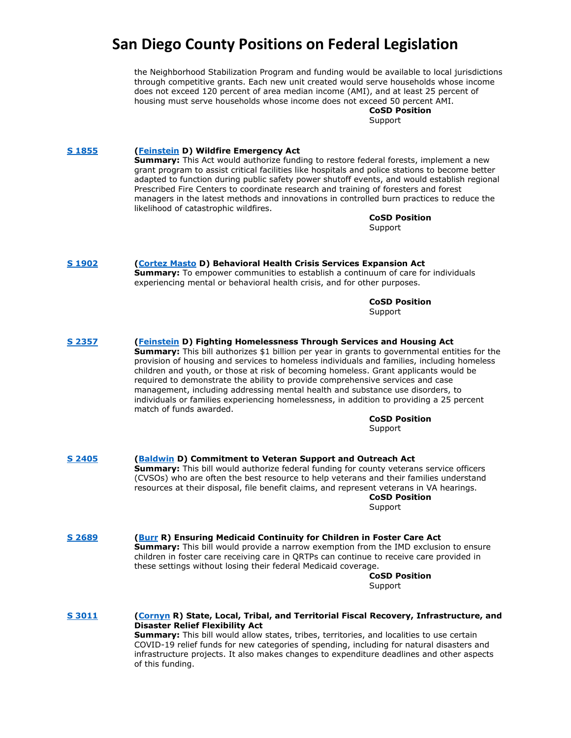the Neighborhood Stabilization Program and funding would be available to local jurisdictions through competitive grants. Each new unit created would serve households whose income does not exceed 120 percent of area median income (AMI), and at least 25 percent of housing must serve households whose income does not exceed 50 percent AMI.

#### **CoSD Position** Support

**[S 1855](https://www.govtrack.us/congress/bills/117/s1855) [\(Feinstein](https://www.feinstein.senate.gov/public/) D) Wildfire Emergency Act Summary:** This Act would authorize funding to restore federal forests, implement a new grant program to assist critical facilities like hospitals and police stations to become better adapted to function during public safety power shutoff events, and would establish regional Prescribed Fire Centers to coordinate research and training of foresters and forest managers in the latest methods and innovations in controlled burn practices to reduce the likelihood of catastrophic wildfires. **CoSD Position**

Support

**[S 1902](https://www.govtrack.us/congress/bills/117/s1902) [\(Cortez Masto](https://www.govtrack.us/congress/members/catherine_cortez_masto/412681) D) Behavioral Health Crisis Services Expansion Act Summary:** To empower communities to establish a continuum of care for individuals experiencing mental or behavioral health crisis, and for other purposes.

> **CoSD Position** Support

**[S 2357](https://www.govtrack.us/congress/bills/117/s2357) [\(Feinstein](https://www.feinstein.senate.gov/public/) D) Fighting Homelessness Through Services and Housing Act Summary:** This bill authorizes \$1 billion per year in grants to governmental entities for the provision of housing and services to homeless individuals and families, including homeless children and youth, or those at risk of becoming homeless. Grant applicants would be required to demonstrate the ability to provide comprehensive services and case management, including addressing mental health and substance use disorders, to individuals or families experiencing homelessness, in addition to providing a 25 percent match of funds awarded. **CoSD Position**

### **Support**

**[S 2405](https://www.govtrack.us/congress/bills/117/s2405) [\(Baldwin](https://www.baldwin.senate.gov/) D) Commitment to Veteran Support and Outreach Act Summary:** This bill would authorize federal funding for county veterans service officers (CVSOs) who are often the best resource to help veterans and their families understand resources at their disposal, file benefit claims, and represent veterans in VA hearings. **CoSD Position**

Support

**[S 2689](https://www.govtrack.us/congress/bills/117/s2689) [\(Burr](https://www.burr.senate.gov/) R) Ensuring Medicaid Continuity for Children in Foster Care Act Summary:** This bill would provide a narrow exemption from the IMD exclusion to ensure children in foster care receiving care in QRTPs can continue to receive care provided in these settings without losing their federal Medicaid coverage.

**CoSD Position** Support

**[S 3011](https://www.congress.gov/bill/117th-congress/senate-bill/3011?q=%7B%22search%22%3A%5B%223011%22%2C%223011%22%5D%7D&s=3&r=6) [\(Cornyn](https://www.cornyn.senate.gov/) R) State, Local, Tribal, and Territorial Fiscal Recovery, Infrastructure, and Disaster Relief Flexibility Act Summary:** This bill would allow states, tribes, territories, and localities to use certain COVID-19 relief funds for new categories of spending, including for natural disasters and infrastructure projects. It also makes changes to expenditure deadlines and other aspects of this funding.